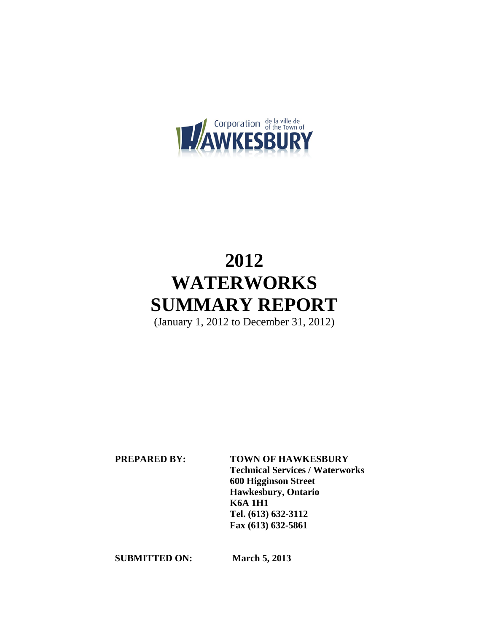

# **2012 WATERWORKS SUMMARY REPORT**

(January 1, 2012 to December 31, 2012)

 **PREPARED BY: TOWN OF HAWKESBURY Technical Services / Waterworks 600 Higginson Street Hawkesbury, Ontario K6A 1H1 Tel. (613) 632-3112 Fax (613) 632-5861** 

**SUBMITTED ON: March 5, 2013**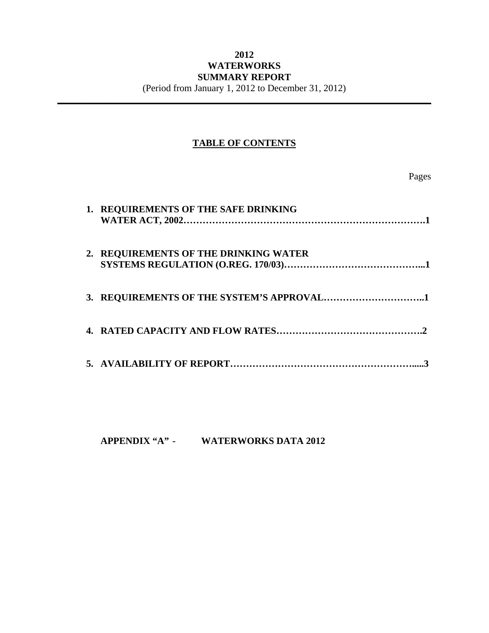## **2012 WATERWORKS SUMMARY REPORT**

(Period from January 1, 2012 to December 31, 2012) **\_\_\_\_\_\_\_\_\_\_\_\_\_\_\_\_\_\_\_\_\_\_\_\_\_\_\_\_\_\_\_\_\_\_\_\_\_\_\_\_\_\_\_\_\_\_\_\_\_\_\_\_\_\_\_\_\_\_\_\_\_\_\_\_\_\_\_\_\_\_\_\_\_\_\_\_\_\_** 

### **TABLE OF CONTENTS**

Pages

| 1. REQUIREMENTS OF THE SAFE DRINKING  |
|---------------------------------------|
| 2. REQUIREMENTS OF THE DRINKING WATER |
|                                       |
|                                       |
|                                       |

**APPENDIX "A" - WATERWORKS DATA 2012**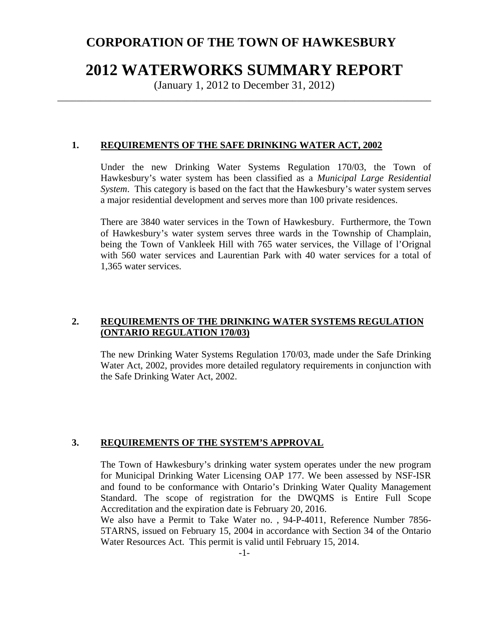# **CORPORATION OF THE TOWN OF HAWKESBURY**

# **2012 WATERWORKS SUMMARY REPORT**

(January 1, 2012 to December 31, 2012) \_\_\_\_\_\_\_\_\_\_\_\_\_\_\_\_\_\_\_\_\_\_\_\_\_\_\_\_\_\_\_\_\_\_\_\_\_\_\_\_\_\_\_\_\_\_\_\_\_\_\_\_\_\_\_\_\_\_\_\_\_\_\_\_\_\_\_\_\_\_\_\_\_\_\_\_\_\_

#### **1. REQUIREMENTS OF THE SAFE DRINKING WATER ACT, 2002**

Under the new Drinking Water Systems Regulation 170/03, the Town of Hawkesbury's water system has been classified as a *Municipal Large Residential System*. This category is based on the fact that the Hawkesbury's water system serves a major residential development and serves more than 100 private residences.

There are 3840 water services in the Town of Hawkesbury. Furthermore, the Town of Hawkesbury's water system serves three wards in the Township of Champlain, being the Town of Vankleek Hill with 765 water services, the Village of l'Orignal with 560 water services and Laurentian Park with 40 water services for a total of 1,365 water services.

#### **2. REQUIREMENTS OF THE DRINKING WATER SYSTEMS REGULATION (ONTARIO REGULATION 170/03)**

The new Drinking Water Systems Regulation 170/03, made under the Safe Drinking Water Act, 2002, provides more detailed regulatory requirements in conjunction with the Safe Drinking Water Act, 2002.

#### **3. REQUIREMENTS OF THE SYSTEM'S APPROVAL**

The Town of Hawkesbury's drinking water system operates under the new program for Municipal Drinking Water Licensing OAP 177. We been assessed by NSF-ISR and found to be conformance with Ontario's Drinking Water Quality Management Standard. The scope of registration for the DWQMS is Entire Full Scope Accreditation and the expiration date is February 20, 2016.

We also have a Permit to Take Water no. , 94-P-4011, Reference Number 7856- 5TARNS, issued on February 15, 2004 in accordance with Section 34 of the Ontario Water Resources Act. This permit is valid until February 15, 2014.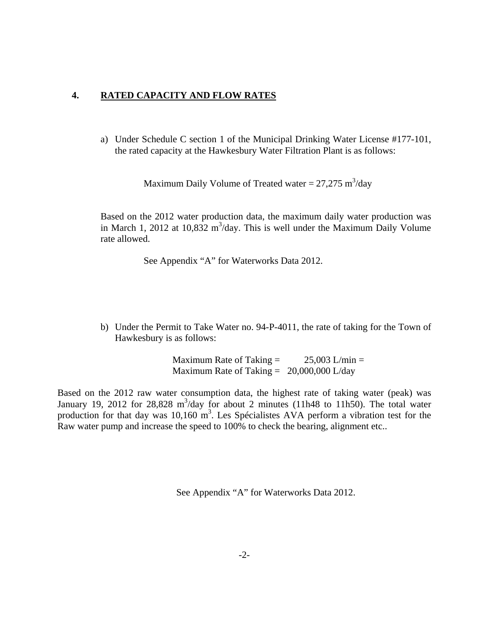#### **4. RATED CAPACITY AND FLOW RATES**

a) Under Schedule C section 1 of the Municipal Drinking Water License #177-101, the rated capacity at the Hawkesbury Water Filtration Plant is as follows:

Maximum Daily Volume of Treated water =  $27,275 \text{ m}^3/\text{day}$ 

Based on the 2012 water production data, the maximum daily water production was in March 1, 2012 at  $10,832 \text{ m}^3/\text{day}$ . This is well under the Maximum Daily Volume rate allowed.

See Appendix "A" for Waterworks Data 2012.

b) Under the Permit to Take Water no. 94-P-4011, the rate of taking for the Town of Hawkesbury is as follows:

> Maximum Rate of Taking  $=$  25,003 L/min  $=$ Maximum Rate of Taking  $= 20,000,000$  L/day

Based on the 2012 raw water consumption data, the highest rate of taking water (peak) was January 19, 2012 for 28,828 m<sup>3</sup>/day for about 2 minutes (11h48 to 11h50). The total water production for that day was  $10,160 \text{ m}^3$ . Les Spécialistes AVA perform a vibration test for the Raw water pump and increase the speed to 100% to check the bearing, alignment etc..

See Appendix "A" for Waterworks Data 2012.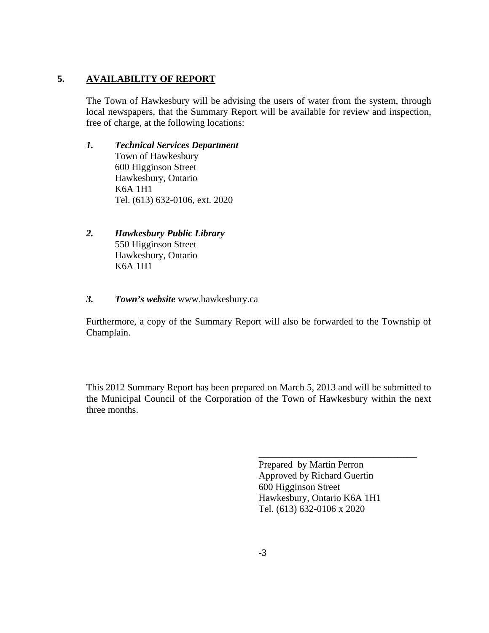#### **5. AVAILABILITY OF REPORT**

The Town of Hawkesbury will be advising the users of water from the system, through local newspapers, that the Summary Report will be available for review and inspection, free of charge, at the following locations:

#### *1. Technical Services Department*

Town of Hawkesbury 600 Higginson Street Hawkesbury, Ontario K6A 1H1 Tel. (613) 632-0106, ext. 2020

- *2. Hawkesbury Public Library* 550 Higginson Street Hawkesbury, Ontario K6A 1H1
- *3. Town's website* www.hawkesbury.ca

Furthermore, a copy of the Summary Report will also be forwarded to the Township of Champlain.

This 2012 Summary Report has been prepared on March 5, 2013 and will be submitted to the Municipal Council of the Corporation of the Town of Hawkesbury within the next three months.

> Prepared by Martin Perron Approved by Richard Guertin 600 Higginson Street Hawkesbury, Ontario K6A 1H1 Tel. (613) 632-0106 x 2020

\_\_\_\_\_\_\_\_\_\_\_\_\_\_\_\_\_\_\_\_\_\_\_\_\_\_\_\_\_\_\_\_\_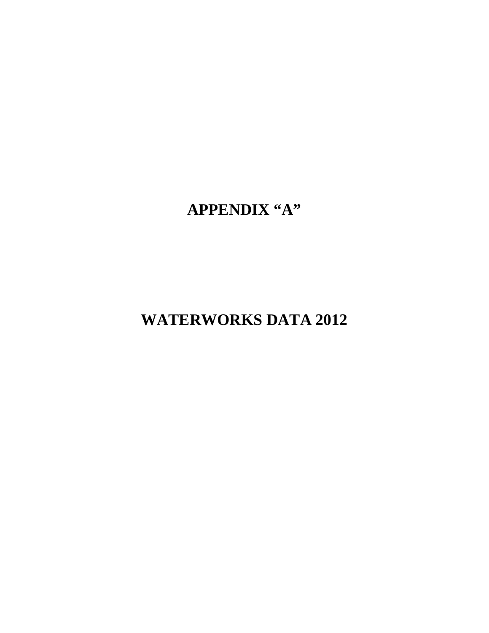**APPENDIX "A"**

**WATERWORKS DATA 2012**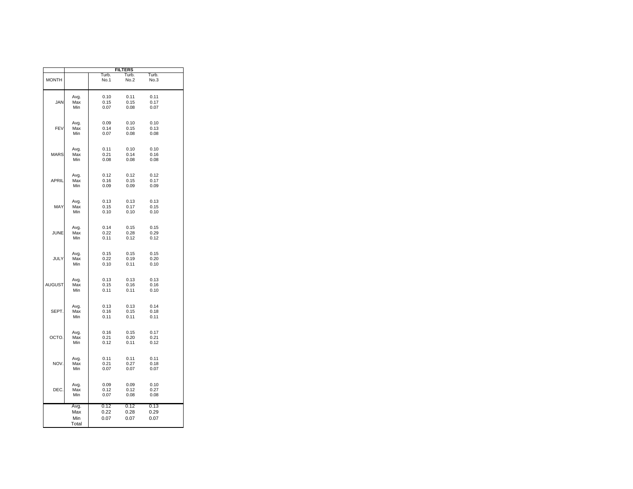|               |                             |                      | <b>FILTERS</b>       |                      |  |
|---------------|-----------------------------|----------------------|----------------------|----------------------|--|
| <b>MONTH</b>  |                             | Turb.<br>No.1        | Turb.<br>No.2        | Turb.<br>No.3        |  |
| JAN           | Avg.<br>Max<br>Min          | 0.10<br>0.15<br>0.07 | 0.11<br>0.15<br>0.08 | 0.11<br>0.17<br>0.07 |  |
| FEV           | Avg.<br>Max<br>Min          | 0.09<br>0.14<br>0.07 | 0.10<br>0.15<br>0.08 | 0.10<br>0.13<br>0.08 |  |
| <b>MARS</b>   | Avg.<br>Max<br>Min          | 0.11<br>0.21<br>0.08 | 0.10<br>0.14<br>0.08 | 0.10<br>0.16<br>0.08 |  |
| <b>APRIL</b>  | Avg.<br>Max<br>Min          | 0.12<br>0.16<br>0.09 | 0.12<br>0.15<br>0.09 | 0.12<br>0.17<br>0.09 |  |
| MAY           | Avg.<br>Max<br>Min          | 0.13<br>0.15<br>0.10 | 0.13<br>0.17<br>0.10 | 0.13<br>0.15<br>0.10 |  |
| JUNE          | Avg.<br>Max<br>Min          | 0.14<br>0.22<br>0.11 | 0.15<br>0.28<br>0.12 | 0.15<br>0.29<br>0.12 |  |
| JULY          | Avg.<br>Max<br>Min          | 0.15<br>0.22<br>0.10 | 0.15<br>0.19<br>0.11 | 0.15<br>0.20<br>0.10 |  |
| <b>AUGUST</b> | Avg.<br>Max<br>Min          | 0.13<br>0.15<br>0.11 | 0.13<br>0.16<br>0.11 | 0.13<br>0.16<br>0.10 |  |
| SEPT.         | Avg.<br>Max<br>Min          | 0.13<br>0.16<br>0.11 | 0.13<br>0.15<br>0.11 | 0.14<br>0.18<br>0.11 |  |
| OCTO.         | Avg.<br>Max<br>Min          | 0.16<br>0.21<br>0.12 | 0.15<br>0.20<br>0.11 | 0.17<br>0.21<br>0.12 |  |
| NOV.          | Avg.<br>Max<br>Min          | 0.11<br>0.21<br>0.07 | 0.11<br>0.27<br>0.07 | 0.11<br>0.18<br>0.07 |  |
| DEC.          | Avg.<br>Max<br>Min          | 0.09<br>0.12<br>0.07 | 0.09<br>0.12<br>0.08 | 0.10<br>0.27<br>0.08 |  |
|               | Avg.<br>Max<br>Min<br>Total | 0.12<br>0.22<br>0.07 | 0.12<br>0.28<br>0.07 | 0.13<br>0.29<br>0.07 |  |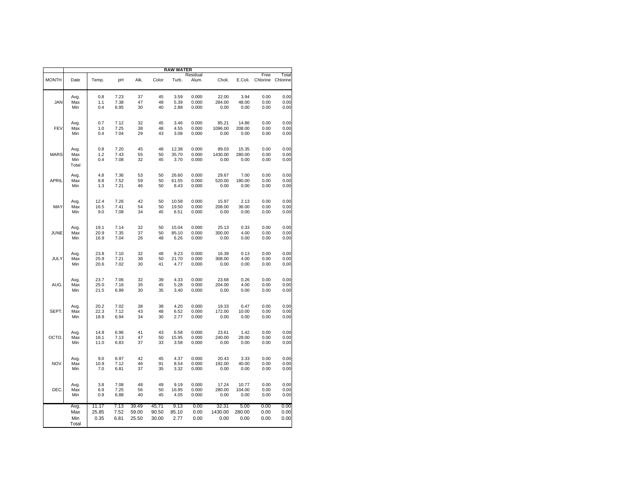|              |             |              |              |          |          | <b>RAW WATER</b> |                |                 |               |              |              |
|--------------|-------------|--------------|--------------|----------|----------|------------------|----------------|-----------------|---------------|--------------|--------------|
|              |             |              |              |          |          |                  | Residual       |                 |               | Free         | Total        |
| <b>MONTH</b> | Date        | Temp.        | pH           | Alk.     | Color    | Turb.            | Alum.          | Choli.          | E.Coli.       | Chlorine     | Chlorine     |
|              | Avg.        | 0.8          | 7.23         | 37       | 45       | 3.59             | 0.000          | 22.00           | 3.94          | 0.00         | 0.00         |
| <b>JAN</b>   | Max         | 1.1          | 7.38         | 47       | 48       | 5.39             | 0.000          | 284.00          | 48.00         | 0.00         | 0.00         |
|              | Min         | 0.4          | 6.95         | 30       | 40       | 2.88             | 0.000          | 0.00            | 0.00          | 0.00         | 0.00         |
|              |             |              |              |          |          |                  |                |                 |               |              |              |
|              | Avg.        | 0.7          | 7.12         | 32       | 45       | 3.46             | 0.000          | 85.21           | 14.86         | 0.00         | 0.00         |
| FEV          | Max         | 1.0          | 7.25         | 38       | 48       | 4.55             | 0.000          | 1096.00         | 208.00        | 0.00         | 0.00         |
|              | Min         | 0.4          | 7.04         | 29       | 43       | 3.08             | 0.000          | 0.00            | 0.00          | 0.00         | 0.00         |
|              | Avg.        | 0.8          | 7.20         | 45       | 48       | 12.38            | 0.000          | 89.03           | 15.35         | 0.00         | 0.00         |
| <b>MARS</b>  | Max         | 1.2          | 7.43         | 55       | 50       | 35.70            | 0.000          | 1430.00         | 280.00        | 0.00         | 0.00         |
|              | Min         | 0.4          | 7.08         | 32       | 45       | 3.70             | 0.000          | 0.00            | 0.00          | 0.00         | 0.00         |
|              | Total       |              |              |          |          |                  |                |                 |               |              |              |
|              | Avg.        | 4.8          | 7.36         | 53       | 50       | 26.60            | 0.000          | 29.67           | 7.00          | 0.00         | 0.00         |
| APRIL        | Max         | 8.8          | 7.52         | 59       | 50       | 61.55            | 0.000          | 520.00          | 180.00        | 0.00         | 0.00         |
|              | Min         | 1.3          | 7.21         | 46       | 50       | 8.43             | 0.000          | 0.00            | 0.00          | 0.00         | 0.00         |
|              | Avg.        | 12.4         | 7.26         | 42       | 50       | 10.58            | 0.000          | 15.97           | 2.13          | 0.00         | 0.00         |
| MAY          | Max         | 16.5         | 7.41         | 54       | 50       | 19.50            | 0.000          | 208.00          | 36.00         | 0.00         | 0.00         |
|              | Min         | 9.0          | 7.08         | 34       | 45       | 6.51             | 0.000          | 0.00            | 0.00          | 0.00         | 0.00         |
|              |             |              |              |          |          |                  |                |                 |               |              |              |
|              | Avg.        | 19.1         | 7.14         | 32       | 50       | 15.04            | 0.000          | 25.13           | 0.33          | 0.00         | 0.00         |
| JUNE         | Max         | 20.9         | 7.35         | 37       | 50       | 85.10            | 0.000          | 300.00          | 4.00          | 0.00         | 0.00         |
|              | Min         | 16.9         | 7.04         | 26       | 48       | 6.26             | 0.000          | 0.00            | 0.00          | 0.00         | 0.00         |
|              |             | 23.8         | 7.10         | 32       | 48       | 9.23             | 0.000          | 16.39           | 0.13          | 0.00         | 0.00         |
| JULY         | Avg.<br>Max | 25.9         | 7.21         | 38       | 50       | 21.70            | 0.000          | 308.00          | 4.00          | 0.00         | 0.00         |
|              | Min         | 20.6         | 7.02         | 30       | 41       | 4.77             | 0.000          | 0.00            | 0.00          | 0.00         | 0.00         |
|              |             |              |              |          |          |                  |                |                 |               |              |              |
|              | Avg.        | 23.7         | 7.06         | 32       | 39       | 4.33             | 0.000          | 23.68           | 0.26          | 0.00         | 0.00         |
| AUG          | Max         | 25.0         | 7.16         | 35       | 45       | 5.28             | 0.000          | 204.00          | 4.00          | 0.00         | 0.00         |
|              | Min         | 21.5         | 6.99         | 30       | 35       | 3.40             | 0.000          | 0.00            | 0.00          | 0.00         | 0.00         |
|              |             |              |              | 38       | 38       |                  |                |                 |               |              |              |
| SEPT.        | Avg.<br>Max | 20.2<br>22.3 | 7.02<br>7.12 | 43       | 48       | 4.20<br>6.52     | 0.000<br>0.000 | 19.33<br>172.00 | 0.47<br>10.00 | 0.00<br>0.00 | 0.00<br>0.00 |
|              | Min         | 18.9         | 6.94         | 34       | 30       | 2.77             | 0.000          | 0.00            | 0.00          | 0.00         | 0.00         |
|              |             |              |              |          |          |                  |                |                 |               |              |              |
|              | Avg.        | 14.8         | 6.96         | 41       | 43       | 6.58             | 0.000          | 23.61           | 1.42          | 0.00         | 0.00         |
| OCTO.        | Max         | 18.1         | 7.13         | 47       | 50       | 15.95            | 0.000          | 240.00          | 28.00         | 0.00         | 0.00         |
|              | Min         | 11.0         | 6.83         | 37       | 33       | 3.58             | 0.000          | 0.00            | 0.00          | 0.00         | 0.00         |
|              |             |              |              |          |          |                  |                |                 |               |              |              |
| <b>NOV</b>   | Avg.        | 9.0<br>10.9  | 6.97<br>7.12 | 42<br>46 | 45<br>91 | 4.37<br>8.54     | 0.000          | 20.43<br>192.00 | 3.33          | 0.00         | 0.00<br>0.00 |
|              | Max<br>Min  | 7.0          | 6.81         | 37       | 35       | 3.32             | 0.000<br>0.000 | 0.00            | 40.00<br>0.00 | 0.00<br>0.00 | 0.00         |
|              |             |              |              |          |          |                  |                |                 |               |              |              |
|              | Avg.        | 3.8          | 7.08         | 48       | 49       | 9.19             | 0.000          | 17.24           | 10.77         | 0.00         | 0.00         |
| DEC.         | Max         | 6.9          | 7.25         | 56       | 50       | 16.95            | 0.000          | 280.00          | 104.00        | 0.00         | 0.00         |
|              | Min         | 0.9          | 6.88         | 40       | 45       | 4.05             | 0.000          | 0.00            | 0.00          | 0.00         | 0.00         |
|              | Avg.        | 11.17        | 7.13         | 39.49    | 45.71    | 9.13             | 0.00           | 32.31           | 5.00          | 0.00         | 0.00         |
|              | Max         | 25.85        | 7.52         | 59.00    | 90.50    | 85.10            | 0.00           | 1430.00         | 280.00        | 0.00         | 0.00         |
|              | Min         | 0.35         | 6.81         | 25.50    | 30.00    | 2.77             | 0.00           | 0.00            | 0.00          | 0.00         | 0.00         |
|              | Total       |              |              |          |          |                  |                |                 |               |              |              |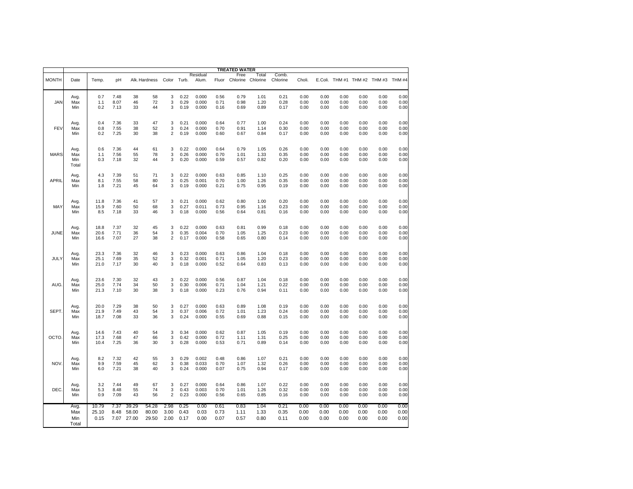|              |                             |                        |                      |                         |                         |                      |                      |                         |                      | TREATED WATER                   |                      |                      |                      |                      |                      |                      |                                     |                      |
|--------------|-----------------------------|------------------------|----------------------|-------------------------|-------------------------|----------------------|----------------------|-------------------------|----------------------|---------------------------------|----------------------|----------------------|----------------------|----------------------|----------------------|----------------------|-------------------------------------|----------------------|
| <b>MONTH</b> | Date                        | Temp.                  | pH                   |                         | Alk. Hardness           | Color Turb.          |                      | Residual<br>Alum.       |                      | Free<br>Fluor Chlorine Chlorine | Total                | Comb.<br>Chlorine    | Choli.               |                      |                      |                      | E.Coli. THM #1 THM #2 THM #3 THM #4 |                      |
| JAN          | Avg.                        | 0.7                    | 7.48                 | 38                      | 58                      | 3                    | 0.22                 | 0.000                   | 0.56                 | 0.79                            | 1.01                 | 0.21                 | 0.00                 | 0.00                 | 0.00                 | 0.00                 | 0.00                                | 0.00                 |
|              | Max                         | 1.1                    | 8.07                 | 46                      | 72                      | 3                    | 0.29                 | 0.000                   | 0.71                 | 0.98                            | 1.20                 | 0.28                 | 0.00                 | 0.00                 | 0.00                 | 0.00                 | 0.00                                | 0.00                 |
|              | Min                         | 0.2                    | 7.13                 | 33                      | 44                      | 3                    | 0.19                 | 0.000                   | 0.16                 | 0.69                            | 0.89                 | 0.17                 | 0.00                 | 0.00                 | 0.00                 | 0.00                 | 0.00                                | 0.00                 |
| FEV          | Avg.                        | 0.4                    | 7.36                 | 33                      | 47                      | 3                    | 0.21                 | 0.000                   | 0.64                 | 0.77                            | 1.00                 | 0.24                 | 0.00                 | 0.00                 | 0.00                 | 0.00                 | 0.00                                | 0.00                 |
|              | Max                         | 0.8                    | 7.55                 | 38                      | 52                      | 3                    | 0.24                 | 0.000                   | 0.70                 | 0.91                            | 1.14                 | 0.30                 | 0.00                 | 0.00                 | 0.00                 | 0.00                 | 0.00                                | 0.00                 |
|              | Min                         | 0.2                    | 7.25                 | 30                      | 38                      | $\overline{c}$       | 0.19                 | 0.000                   | 0.60                 | 0.67                            | 0.84                 | 0.17                 | 0.00                 | 0.00                 | 0.00                 | 0.00                 | 0.00                                | 0.00                 |
| <b>MARS</b>  | Avg.<br>Max<br>Min<br>Total | 0.6<br>1.1<br>0.3      | 7.36<br>7.56<br>7.18 | 44<br>55<br>32          | 61<br>78<br>44          | 3<br>3<br>3          | 0.22<br>0.26<br>0.20 | 0.000<br>0.000<br>0.000 | 0.64<br>0.70<br>0.59 | 0.79<br>1.01<br>0.57            | 1.05<br>1.33<br>0.82 | 0.26<br>0.35<br>0.20 | 0.00<br>0.00<br>0.00 | 0.00<br>0.00<br>0.00 | 0.00<br>0.00<br>0.00 | 0.00<br>0.00<br>0.00 | 0.00<br>0.00<br>0.00                | 0.00<br>0.00<br>0.00 |
| APRIL        | Avg.                        | 4.3                    | 7.39                 | 51                      | 71                      | 3                    | 0.22                 | 0.000                   | 0.63                 | 0.85                            | 1.10                 | 0.25                 | 0.00                 | 0.00                 | 0.00                 | 0.00                 | 0.00                                | 0.00                 |
|              | Max                         | 8.1                    | 7.55                 | 58                      | 80                      | 3                    | 0.25                 | 0.001                   | 0.70                 | 1.00                            | 1.26                 | 0.35                 | 0.00                 | 0.00                 | 0.00                 | 0.00                 | 0.00                                | 0.00                 |
|              | Min                         | 1.8                    | 7.21                 | 45                      | 64                      | 3                    | 0.19                 | 0.000                   | 0.21                 | 0.75                            | 0.95                 | 0.19                 | 0.00                 | 0.00                 | 0.00                 | 0.00                 | 0.00                                | 0.00                 |
| MAY          | Avg.                        | 11.8                   | 7.36                 | 41                      | 57                      | 3                    | 0.21                 | 0.000                   | 0.62                 | 0.80                            | 1.00                 | 0.20                 | 0.00                 | 0.00                 | 0.00                 | 0.00                 | 0.00                                | 0.00                 |
|              | Max                         | 15.9                   | 7.60                 | 50                      | 68                      | 3                    | 0.27                 | 0.011                   | 0.73                 | 0.95                            | 1.16                 | 0.23                 | 0.00                 | 0.00                 | 0.00                 | 0.00                 | 0.00                                | 0.00                 |
|              | Min                         | 8.5                    | 7.18                 | 33                      | 46                      | 3                    | 0.18                 | 0.000                   | 0.56                 | 0.64                            | 0.81                 | 0.16                 | 0.00                 | 0.00                 | 0.00                 | 0.00                 | 0.00                                | 0.00                 |
| JUNE         | Avg.                        | 18.8                   | 7.37                 | 32                      | 45                      | 3                    | 0.22                 | 0.000                   | 0.63                 | 0.81                            | 0.99                 | 0.18                 | 0.00                 | 0.00                 | 0.00                 | 0.00                 | 0.00                                | 0.00                 |
|              | Max                         | 20.6                   | 7.71                 | 36                      | 54                      | 3                    | 0.35                 | 0.004                   | 0.70                 | 1.05                            | 1.25                 | 0.23                 | 0.00                 | 0.00                 | 0.00                 | 0.00                 | 0.00                                | 0.00                 |
|              | Min                         | 16.6                   | 7.07                 | 27                      | 38                      | $\overline{2}$       | 0.17                 | 0.000                   | 0.58                 | 0.65                            | 0.80                 | 0.14                 | 0.00                 | 0.00                 | 0.00                 | 0.00                 | 0.00                                | 0.00                 |
| JULY         | Avg.                        | 23.3                   | 7.36                 | 32                      | 46                      | 3                    | 0.23                 | 0.000                   | 0.63                 | 0.86                            | 1.04                 | 0.18                 | 0.00                 | 0.00                 | 0.00                 | 0.00                 | 0.00                                | 0.00                 |
|              | Max                         | 25.1                   | 7.69                 | 35                      | 52                      | 3                    | 0.32                 | 0.001                   | 0.71                 | 1.05                            | 1.20                 | 0.23                 | 0.00                 | 0.00                 | 0.00                 | 0.00                 | 0.00                                | 0.00                 |
|              | Min                         | 21.0                   | 7.17                 | 30                      | 40                      | 3                    | 0.18                 | 0.000                   | 0.52                 | 0.64                            | 0.83                 | 0.13                 | 0.00                 | 0.00                 | 0.00                 | 0.00                 | 0.00                                | 0.00                 |
| AUG.         | Avg.                        | 23.6                   | 7.30                 | 32                      | 43                      | 3                    | 0.22                 | 0.000                   | 0.56                 | 0.87                            | 1.04                 | 0.18                 | 0.00                 | 0.00                 | 0.00                 | 0.00                 | 0.00                                | 0.00                 |
|              | Max                         | 25.0                   | 7.74                 | 34                      | 50                      | 3                    | 0.30                 | 0.006                   | 0.71                 | 1.04                            | 1.21                 | 0.22                 | 0.00                 | 0.00                 | 0.00                 | 0.00                 | 0.00                                | 0.00                 |
|              | Min                         | 21.3                   | 7.10                 | 30                      | 38                      | 3                    | 0.18                 | 0.000                   | 0.23                 | 0.76                            | 0.94                 | 0.11                 | 0.00                 | 0.00                 | 0.00                 | 0.00                 | 0.00                                | 0.00                 |
| SEPT.        | Avg.                        | 20.0                   | 7.29                 | 38                      | 50                      | 3                    | 0.27                 | 0.000                   | 0.63                 | 0.89                            | 1.08                 | 0.19                 | 0.00                 | 0.00                 | 0.00                 | 0.00                 | 0.00                                | 0.00                 |
|              | Max                         | 21.9                   | 7.49                 | 43                      | 54                      | 3                    | 0.37                 | 0.006                   | 0.72                 | 1.01                            | 1.23                 | 0.24                 | 0.00                 | 0.00                 | 0.00                 | 0.00                 | 0.00                                | 0.00                 |
|              | Min                         | 18.7                   | 7.08                 | 33                      | 36                      | 3                    | 0.24                 | 0.000                   | 0.55                 | 0.69                            | 0.88                 | 0.15                 | 0.00                 | 0.00                 | 0.00                 | 0.00                 | 0.00                                | 0.00                 |
| OCTO.        | Avg.                        | 14.6                   | 7.43                 | 40                      | 54                      | 3                    | 0.34                 | 0.000                   | 0.62                 | 0.87                            | 1.05                 | 0.19                 | 0.00                 | 0.00                 | 0.00                 | 0.00                 | 0.00                                | 0.00                 |
|              | Max                         | 17.3                   | 7.68                 | 47                      | 66                      | 3                    | 0.42                 | 0.000                   | 0.72                 | 1.11                            | 1.31                 | 0.25                 | 0.00                 | 0.00                 | 0.00                 | 0.00                 | 0.00                                | 0.00                 |
|              | Min                         | 10.4                   | 7.25                 | 36                      | 30                      | 3                    | 0.28                 | 0.000                   | 0.53                 | 0.71                            | 0.89                 | 0.14                 | 0.00                 | 0.00                 | 0.00                 | 0.00                 | 0.00                                | 0.00                 |
| <b>NOV</b>   | Avg.                        | 8.2                    | 7.32                 | 42                      | 55                      | 3                    | 0.29                 | 0.002                   | 0.48                 | 0.86                            | 1.07                 | 0.21                 | 0.00                 | 0.00                 | 0.00                 | 0.00                 | 0.00                                | 0.00                 |
|              | Max                         | 9.9                    | 7.59                 | 45                      | 62                      | 3                    | 0.38                 | 0.033                   | 0.70                 | 1.07                            | 1.32                 | 0.26                 | 0.00                 | 0.00                 | 0.00                 | 0.00                 | 0.00                                | 0.00                 |
|              | Min                         | 6.0                    | 7.21                 | 38                      | 40                      | 3                    | 0.24                 | 0.000                   | 0.07                 | 0.75                            | 0.94                 | 0.17                 | 0.00                 | 0.00                 | 0.00                 | 0.00                 | 0.00                                | 0.00                 |
| DEC          | Avg.                        | 3.2                    | 7.44                 | 49                      | 67                      | 3                    | 0.27                 | 0.000                   | 0.64                 | 0.86                            | 1.07                 | 0.22                 | 0.00                 | 0.00                 | 0.00                 | 0.00                 | 0.00                                | 0.00                 |
|              | Max                         | 5.3                    | 8.48                 | 55                      | 74                      | 3                    | 0.43                 | 0.003                   | 0.70                 | 1.01                            | 1.26                 | 0.32                 | 0.00                 | 0.00                 | 0.00                 | 0.00                 | 0.00                                | 0.00                 |
|              | Min                         | 0.9                    | 7.09                 | 43                      | 56                      | $\overline{2}$       | 0.23                 | 0.000                   | 0.56                 | 0.65                            | 0.85                 | 0.16                 | 0.00                 | 0.00                 | 0.00                 | 0.00                 | 0.00                                | 0.00                 |
|              | Avg.<br>Max<br>Min<br>Total | 10.79<br>25.10<br>0.15 | 7.37<br>8.48<br>7.07 | 39.29<br>58.00<br>27.00 | 54.28<br>80.00<br>29.50 | 2.98<br>3.00<br>2.00 | 0.25<br>0.43<br>0.17 | 0.00<br>0.03<br>0.00    | 0.61<br>0.73<br>0.07 | 0.83<br>1.11<br>0.57            | 1.04<br>1.33<br>0.80 | 0.21<br>0.35<br>0.11 | 0.00<br>0.00<br>0.00 | 0.00<br>0.00<br>0.00 | 0.00<br>0.00<br>0.00 | 0.00<br>0.00<br>0.00 | 0.00<br>0.00<br>0.00                | 0.00<br>0.00<br>0.00 |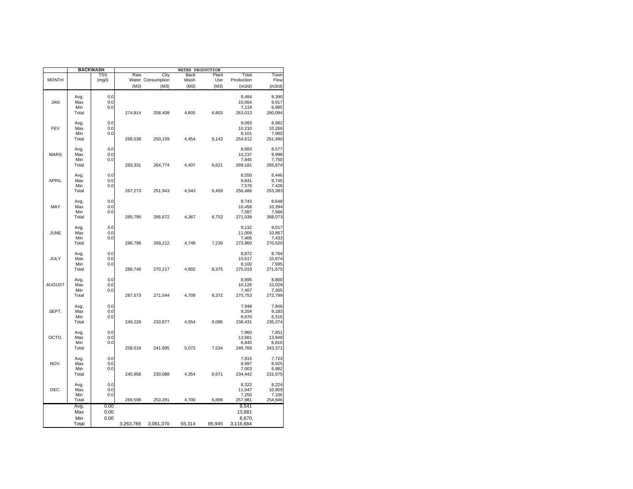|               |              | <b>BACKWASH</b> | WATER PRODUCTION |                   |        |        |                 |                 |  |  |
|---------------|--------------|-----------------|------------------|-------------------|--------|--------|-----------------|-----------------|--|--|
|               |              | TSS             | Raw              | City              | Back   | Plant  | Total           | Town            |  |  |
| <b>MONTH</b>  |              | (mg/l)          |                  | Water Consumption | Wash   | Use    | Production      | Flow            |  |  |
|               |              |                 | (M3)             | (M3)              | (M3)   | (M3)   | (m3/d)          | (m3/d)          |  |  |
|               |              |                 |                  |                   |        |        |                 |                 |  |  |
|               | Avg.         | 0.0             |                  |                   |        |        | 8,484           | 8,390           |  |  |
| <b>JAN</b>    | Max          | 0.0             |                  |                   |        |        | 10,004          | 9,917           |  |  |
|               | Min          | 0.0             |                  |                   |        |        | 7,118           | 6,995           |  |  |
|               | Total        |                 | 274,914          | 258,408           | 4,605  | 6,803  | 263,013         | 260,094         |  |  |
|               |              |                 |                  |                   |        |        |                 |                 |  |  |
| FEV           | Avg.<br>Max  | 0.0<br>0.0      |                  |                   |        |        | 9,093           | 8,982           |  |  |
|               | Min          | 0.0             |                  |                   |        |        | 10,210<br>8,101 | 10,266<br>7,980 |  |  |
|               | Total        |                 | 268,538          | 250,159           | 4,454  | 6,142  | 254,612         | 251,490         |  |  |
|               |              |                 |                  |                   |        |        |                 |                 |  |  |
|               | Avg.         | 0.0             |                  |                   |        |        | 8,683           | 8,577           |  |  |
| <b>MARS</b>   | Max          | 0.0             |                  |                   |        |        | 10,237          | 9,998           |  |  |
|               | Min          | 0.0             |                  |                   |        |        | 7,845           | 7,750           |  |  |
|               | Total        |                 | 283,331          | 264,774           | 4,407  | 6,621  | 269,181         | 265,874         |  |  |
|               |              |                 |                  |                   |        |        |                 |                 |  |  |
|               | Avg.         | 0.0             |                  |                   |        |        | 8,550           | 8,446           |  |  |
| <b>APRIL</b>  | Max          | 0.0             |                  |                   |        |        | 9,841           | 9,745           |  |  |
|               | Min          | 0.0             |                  |                   |        |        | 7,576           | 7,426           |  |  |
|               | Total        |                 | 267,273          | 251,943           | 4,543  | 6,459  | 256,486         | 253,383         |  |  |
|               |              |                 |                  |                   |        |        |                 |                 |  |  |
|               | Avg.         | 0.0             |                  |                   |        |        | 8,743           | 8,648           |  |  |
| MAY           | Max          | 0.0             |                  |                   |        |        | 10,458          | 10,394          |  |  |
|               | Min          | 0.0             |                  |                   |        |        | 7,587           | 7,566           |  |  |
|               | Total        |                 | 285,795          | 266,672           | 4,367  | 6,753  | 271,039         | 268,073         |  |  |
|               | Avg.         | 0.0             |                  |                   |        |        | 9,132           | 9,017           |  |  |
| <b>JUNE</b>   | Max          | 0.0             |                  |                   |        |        | 11,009          | 10,867          |  |  |
|               | Min          | 0.0             |                  |                   |        |        | 7,406           | 7,433           |  |  |
|               | Total        |                 | 286,796          | 269,212           | 4,748  | 7,230  | 273,960         | 270,520         |  |  |
|               |              |                 |                  |                   |        |        |                 |                 |  |  |
|               | Avg.         | 0.0             |                  |                   |        |        | 8,872           | 8,764           |  |  |
| JULY          | Max          | 0.0             |                  |                   |        |        | 10,617          | 10,674          |  |  |
|               | Min          | 0.0             |                  |                   |        |        | 8,100           | 7,995           |  |  |
|               | Total        |                 | 286,746          | 270,217           | 4,802  | 8,375  | 275,019         | 271,675         |  |  |
|               |              |                 |                  |                   |        |        |                 |                 |  |  |
|               | Avg.         | 0.0             |                  |                   |        |        | 8,895           | 8,800           |  |  |
| <b>AUGUST</b> | Max          | 0.0             |                  |                   |        |        | 10,126          | 10,029          |  |  |
|               | Min          | 0.0             |                  |                   |        |        | 7,407           | 7,305           |  |  |
|               | Total        |                 | 287,573          | 271,044           | 4,709  | 8,372  | 275,753         | 272,799         |  |  |
|               |              |                 |                  |                   |        |        |                 |                 |  |  |
|               | Avg.         | 0.0             |                  |                   |        |        | 7,948           | 7,846           |  |  |
| SEPT.         | Max          | 0.0             |                  |                   |        |        | 9,204           | 9,183           |  |  |
|               | Min<br>Total | 0.0             | 249,226          | 233,877           | 4,554  | 8,086  | 6,670           | 6,515           |  |  |
|               |              |                 |                  |                   |        |        | 238,431         | 235,374         |  |  |
|               | Avg.         | 0.0             |                  |                   |        |        | 7,960           | 7,851           |  |  |
| OCTO.         | Max          | 0.0             |                  |                   |        |        | 13,681          | 13,948          |  |  |
|               | Min          | 0.0             |                  |                   |        |        | 6,845           | 6,810           |  |  |
|               | Total        |                 | 258,018          | 241,695           | 5,073  | 7,534  | 246,768         | 243,371         |  |  |
|               |              |                 |                  |                   |        |        |                 |                 |  |  |
|               | Avg.         | 0.0             |                  |                   |        |        | 7,815           | 7,723           |  |  |
| NOV.          | Max          | 0.0             |                  |                   |        |        | 8,997           | 8,925           |  |  |
|               | Min          | 0.0             |                  |                   |        |        | 7,003           | 6,882           |  |  |
|               | Total        |                 | 245,958          | 230,088           | 4,354  | 6,671  | 234,442         | 231,675         |  |  |
|               |              |                 |                  |                   |        |        |                 |                 |  |  |
|               | Avg.         | 0.0             |                  |                   |        |        | 8,322           | 8,224           |  |  |
| DEC.          | Max          | 0.0             |                  |                   |        |        | 11,047          | 10,959          |  |  |
|               | Min          | 0.0             |                  |                   |        |        | 7,250           | 7,105           |  |  |
|               | Total        |                 | 269,598          | 253,281           | 4,700  | 6,899  | 257,981         | 254,946         |  |  |
|               | Avg.         | 0.00            |                  |                   |        |        | 8,541           |                 |  |  |
|               | Max          | 0.00            |                  |                   |        |        | 13,681          |                 |  |  |
|               | Min          | 0.00            |                  |                   |        |        | 6,670           |                 |  |  |
|               | Total        |                 | 3,263,765        | 3,061,370         | 55,314 | 85,945 | 3,116,684       |                 |  |  |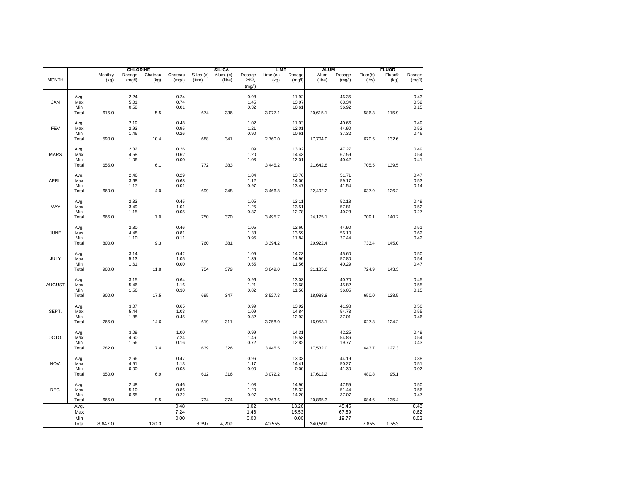|               |                             |                 | <b>CHLORINE</b>      |                 |                      |                       | <b>SILICA</b>        |                                   | <b>LIME</b>       |                         | <b>ALUM</b>     |                         |                   | <b>FLUOR</b>               |                                                     |
|---------------|-----------------------------|-----------------|----------------------|-----------------|----------------------|-----------------------|----------------------|-----------------------------------|-------------------|-------------------------|-----------------|-------------------------|-------------------|----------------------------|-----------------------------------------------------|
| <b>MONTH</b>  |                             | Monthly<br>(kg) | Dosage<br>(mg/l)     | Chateau<br>(kg) | Chateau<br>(mg/l)    | Silica (c)<br>(litre) | Alum. (c)<br>(litre) | Dosage<br>$Si\bar{O}_2$<br>(mg/l) | Lime (c.)<br>(kg) | Dosage<br>(mg/l)        | Alum<br>(litre) | Dosage<br>(mg/l)        | Fluor(b)<br>(lbs) | Fluor <sup>©</sup><br>(kg) | Dosage<br>(mg/l)                                    |
| JAN           | Avg.<br>Max<br>Min<br>Total | 615.0           | 2.24<br>5.01<br>0.58 | 5.5             | 0.24<br>0.74<br>0.01 | 674                   | 336                  | 0.98<br>1.45<br>0.32              | 3,077.1           | 11.92<br>13.07<br>10.61 | 20,615.1        | 46.35<br>63.34<br>36.92 | 586.3             | 115.9                      | 0.43<br>$0.52$<br>$0.15$                            |
| FEV           | Avg.<br>Max<br>Min<br>Total | 590.0           | 2.19<br>2.93<br>1.46 | 10.4            | 0.48<br>0.95<br>0.26 | 688                   | 341                  | 1.02<br>1.21<br>0.90              | 2,760.0           | 11.03<br>12.01<br>10.61 | 17,704.0        | 40.66<br>44.90<br>37.32 | 670.5             | 132.6                      | 0.49<br>0.52<br>0.46                                |
| <b>MARS</b>   | Avg.<br>Max<br>Min<br>Total | 655.0           | 2.32<br>4.58<br>1.06 | 6.1             | 0.26<br>0.62<br>0.00 | 772                   | 383                  | 1.09<br>1.20<br>1.03              | 3,445.2           | 13.02<br>14.43<br>12.01 | 21,642.8        | 47.27<br>67.59<br>40.42 | 705.5             | 139.5                      | $0.49$<br>$0.54$<br>0.41                            |
| <b>APRIL</b>  | Avg.<br>Max<br>Min<br>Total | 660.0           | 2.46<br>3.68<br>1.17 | 4.0             | 0.29<br>0.68<br>0.01 | 699                   | 348                  | 1.04<br>1.12<br>0.97              | 3,466.8           | 13.76<br>14.00<br>13.47 | 22,402.2        | 51.71<br>59.17<br>41.54 | 637.9             | 126.2                      | 0.47<br>0.53<br>0.14                                |
| MAY           | Avg.<br>Max<br>Min<br>Total | 665.0           | 2.33<br>3.49<br>1.15 | 7.0             | 0.45<br>1.01<br>0.05 | 750                   | 370                  | 1.05<br>1.25<br>0.87              | 3,495.7           | 13.11<br>13.51<br>12.78 | 24,175.1        | 52.18<br>57.81<br>40.23 | 709.1             | 140.2                      | 0.49<br>0.52<br>0.27                                |
| JUNE          | Avg.<br>Max<br>Min<br>Total | 800.0           | 2.80<br>4.48<br>1.10 | 9.3             | 0.46<br>0.81<br>0.11 | 760                   | 381                  | 1.05<br>1.33<br>0.95              | 3,394.2           | 12.60<br>13.59<br>11.84 | 20,922.4        | 44.90<br>56.10<br>37.44 | 733.4             | 145.0                      | 0.51<br>$0.62$<br>$0.42$                            |
| JULY          | Avg.<br>Max<br>Min<br>Total | 900.0           | 3.14<br>5.13<br>1.61 | 11.8            | 0.42<br>1.05<br>0.00 | 754                   | 379                  | 1.05<br>1.39<br>0.55              | 3,849.0           | 14.23<br>14.96<br>11.56 | 21,185.6        | 45.60<br>57.80<br>40.29 | 724.9             | 143.3                      | 0.50<br>0.54<br>0.47                                |
| <b>AUGUST</b> | Avg.<br>Max<br>Min<br>Total | 900.0           | 3.15<br>5.46<br>1.56 | 17.5            | 0.64<br>1.16<br>0.30 | 695                   | 347                  | 0.96<br>1.21<br>0.82              | 3,527.3           | 13.03<br>13.68<br>11.56 | 18,988.8        | 40.70<br>45.82<br>36.05 | 650.0             | 128.5                      | $0.45$<br>$0.55$<br>$0.15$                          |
| SEPT.         | Avg.<br>Max<br>Min<br>Total | 765.0           | 3.07<br>5.44<br>1.88 | 14.6            | 0.65<br>1.03<br>0.45 | 619                   | 311                  | 0.99<br>1.09<br>0.82              | 3,258.0           | 13.92<br>14.84<br>12.93 | 16,953.1        | 41.98<br>54.73<br>37.01 | 627.8             | 124.2                      | 0.50<br>$0.55$<br>$0.46$                            |
| OCTO.         | Avg.<br>Max<br>Min<br>Total | 782.0           | 3.09<br>4.60<br>1.56 | 17.4            | 1.00<br>7.24<br>0.16 | 639                   | 326                  | 0.99<br>1.46<br>0.72              | 3,445.5           | 14.31<br>15.53<br>12.82 | 17,532.0        | 42.25<br>54.86<br>19.77 | 643.7             | 127.3                      | 0.49<br>0.54<br>0.43                                |
| NOV.          | Avg.<br>Max<br>Min<br>Total | 650.0           | 2.66<br>4.51<br>0.00 | 6.9             | 0.47<br>1.13<br>0.08 | 612                   | 316                  | 0.96<br>1.17<br>0.00              | 3,072.2           | 13.33<br>14.41<br>0.00  | 17,612.2        | 44.19<br>50.27<br>41.30 | 480.8             | 95.1                       | $\begin{array}{c} 0.38 \\ 0.51 \\ 0.02 \end{array}$ |
| DEC.          | Avg.<br>Max<br>Min<br>Total | 665.0           | 2.48<br>5.10<br>0.65 | 9.5             | 0.46<br>0.86<br>0.22 | 734                   | 374                  | 1.08<br>1.20<br>0.97              | 3,763.6           | 14.90<br>15.32<br>14.20 | 20,865.3        | 47.59<br>51.44<br>37.07 | 684.6             | 135.4                      | 0.50<br>0.56<br>0.47                                |
|               | Avg.<br>Max<br>Min<br>Total | 8,647.0         |                      | 120.0           | 0.48<br>7.24<br>0.00 | 8,397                 | 4,209                | 1.02<br>1.46<br>0.00              | 40,555            | 13.26<br>15.53<br>0.00  | 240,599         | 45.45<br>67.59<br>19.77 | 7,855             | 1,553                      | 0.48<br>0.62<br>0.02                                |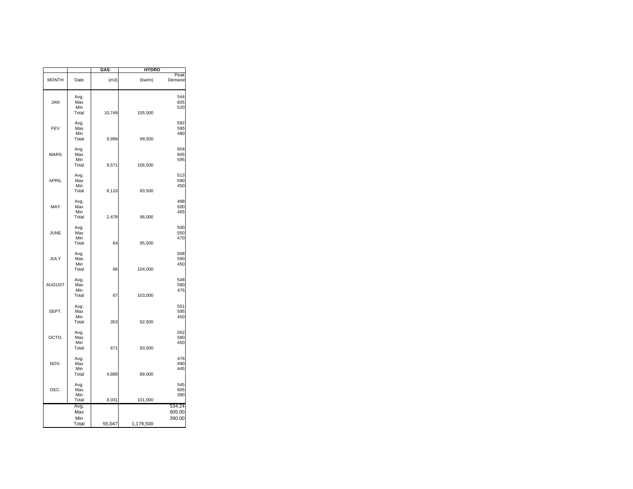|               |                             | GAS    | <b>HYDRO</b> |                            |
|---------------|-----------------------------|--------|--------------|----------------------------|
| <b>MONTH</b>  | Date                        | (m3)   | (kw/m)       | Peak<br>Demand             |
| <b>JAN</b>    | Avg.<br>Max<br>Min<br>Total | 10,749 | 105,500      | 544<br>605<br>520          |
| FEV           | Avg.<br>Max<br>Min<br>Total | 9,999  | 99,500       | 582<br>595<br>480          |
| <b>MARS</b>   | Avg.<br>Max<br>Min<br>Total | 9,571  | 106,500      | 604<br>605<br>595          |
| <b>APRIL</b>  | Avg.<br>Max<br>Min<br>Total | 8,110  | 93,500       | 513<br>590<br>450          |
| MAY           | Avg.<br>Max<br>Min<br>Total | 2,478  | 96,000       | 488<br>500<br>465          |
| JUNE          | Avg.<br>Max<br>Min<br>Total | 64     | 95,500       | 500<br>550<br>470          |
| JULY          | Avg.<br>Max<br>Min<br>Total | 66     | 104,000      | 508<br>590<br>450          |
| <b>AUGUST</b> | Avg.<br>Max<br>Min<br>Total | 67     | 103,000      | 548<br>580<br>475          |
| SEPT.         | Avg.<br>Max<br>Min<br>Total | 353    | 92,500       | 551<br>595<br>450          |
| OCTO.         | Avg.<br>Max<br>Min<br>Total | 671    | 93,500       | 552<br>580<br>450          |
| NOV.          | Avg.<br>Max<br>Min<br>Total | 4,888  | 89,000       | 476<br>490<br>445          |
| DEC.          | Avg.<br>Max<br>Min<br>Total | 8,031  | 101,000      | 545<br>605<br>390          |
|               | Avg.<br>Max<br>Min<br>Total | 55,047 | 1,179,500    | 534.24<br>605.00<br>390.00 |